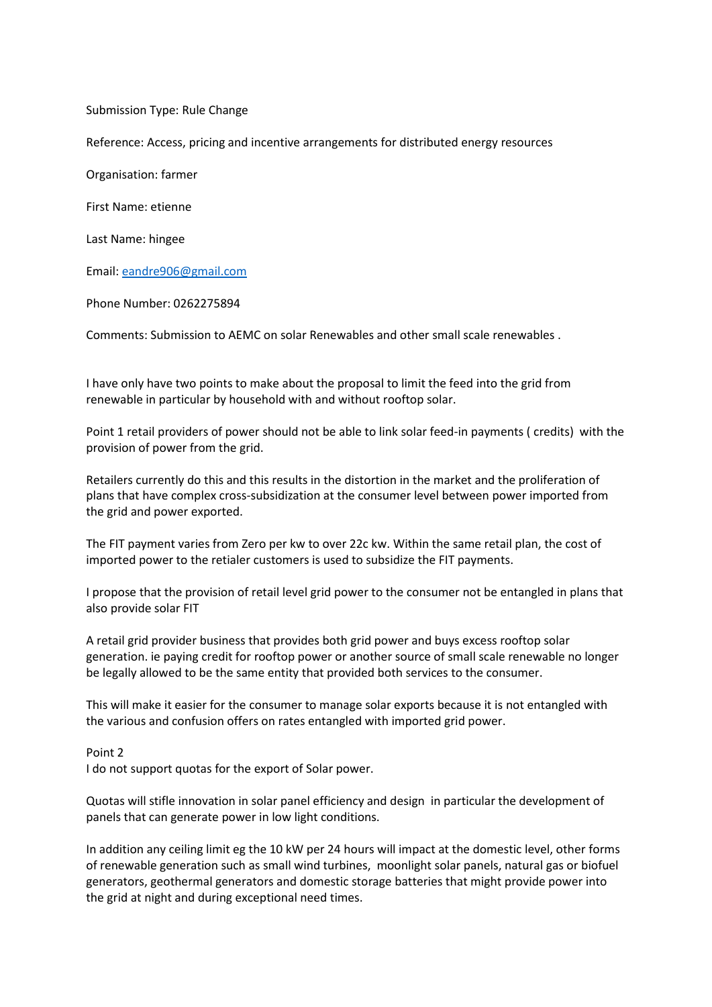Submission Type: Rule Change Reference: Access, pricing and incentive arrangements for distributed energy resources Organisation: farmer First Name: etienne Last Name: hingee Email: [eandre906@gmail.com](mailto:eandre906@gmail.com) Phone Number: 0262275894

Comments: Submission to AEMC on solar Renewables and other small scale renewables .

I have only have two points to make about the proposal to limit the feed into the grid from renewable in particular by household with and without rooftop solar.

Point 1 retail providers of power should not be able to link solar feed-in payments ( credits) with the provision of power from the grid.

Retailers currently do this and this results in the distortion in the market and the proliferation of plans that have complex cross-subsidization at the consumer level between power imported from the grid and power exported.

The FIT payment varies from Zero per kw to over 22c kw. Within the same retail plan, the cost of imported power to the retialer customers is used to subsidize the FIT payments.

I propose that the provision of retail level grid power to the consumer not be entangled in plans that also provide solar FIT

A retail grid provider business that provides both grid power and buys excess rooftop solar generation. ie paying credit for rooftop power or another source of small scale renewable no longer be legally allowed to be the same entity that provided both services to the consumer.

This will make it easier for the consumer to manage solar exports because it is not entangled with the various and confusion offers on rates entangled with imported grid power.

Point 2

I do not support quotas for the export of Solar power.

Quotas will stifle innovation in solar panel efficiency and design in particular the development of panels that can generate power in low light conditions.

In addition any ceiling limit eg the 10 kW per 24 hours will impact at the domestic level, other forms of renewable generation such as small wind turbines, moonlight solar panels, natural gas or biofuel generators, geothermal generators and domestic storage batteries that might provide power into the grid at night and during exceptional need times.